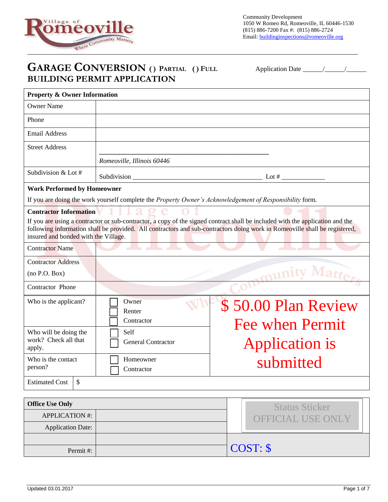

Community Development 1050 W Romeo Rd, Romeoville, IL 60446-1530 (815) 886-7200 Fax #: (815) 886-2724 Email: buildinginspections@romeoville.org

## GARAGE CONVERSION () PARTIAL () FULL Application Date \_\_\_\_\_\_\_\_\_\_\_\_\_\_\_\_\_\_\_\_\_\_\_\_\_\_\_ **BUILDING PERMIT APPLICATION**

| <b>Property &amp; Owner Information</b>                                                                                                                                                                                                                                                                                              |                                                                                                          |                                               |  |
|--------------------------------------------------------------------------------------------------------------------------------------------------------------------------------------------------------------------------------------------------------------------------------------------------------------------------------------|----------------------------------------------------------------------------------------------------------|-----------------------------------------------|--|
| <b>Owner Name</b>                                                                                                                                                                                                                                                                                                                    |                                                                                                          |                                               |  |
| Phone                                                                                                                                                                                                                                                                                                                                |                                                                                                          |                                               |  |
| <b>Email Address</b>                                                                                                                                                                                                                                                                                                                 |                                                                                                          |                                               |  |
| <b>Street Address</b>                                                                                                                                                                                                                                                                                                                |                                                                                                          |                                               |  |
|                                                                                                                                                                                                                                                                                                                                      | Romeoville, Illinois 60446                                                                               |                                               |  |
| Subdivision & Lot #                                                                                                                                                                                                                                                                                                                  |                                                                                                          |                                               |  |
| <b>Work Performed by Homeowner</b>                                                                                                                                                                                                                                                                                                   |                                                                                                          |                                               |  |
|                                                                                                                                                                                                                                                                                                                                      | If you are doing the work yourself complete the Property Owner's Acknowledgement of Responsibility form. |                                               |  |
| <b>Contractor Information</b><br>If you are using a contractor or sub-contractor, a copy of the signed contract shall be included with the application and the<br>following information shall be provided. All contractors and sub-contractors doing work in Romeoville shall be registered,<br>insured and bonded with the Village. |                                                                                                          |                                               |  |
|                                                                                                                                                                                                                                                                                                                                      | and the same<br><b>Contractor Name</b>                                                                   |                                               |  |
| <b>Contractor Address</b><br>(no P.O. Box)                                                                                                                                                                                                                                                                                           | munity Matte                                                                                             |                                               |  |
| Contractor Phone                                                                                                                                                                                                                                                                                                                     |                                                                                                          |                                               |  |
| Who is the applicant?                                                                                                                                                                                                                                                                                                                | Owner<br>Renter<br>Contractor                                                                            | \$50.00 Plan Review<br><b>Fee when Permit</b> |  |
| Who will be doing the<br>work? Check all that<br>apply.                                                                                                                                                                                                                                                                              | Self<br><b>General Contractor</b>                                                                        | <b>Application is</b>                         |  |
| Who is the contact<br>person?                                                                                                                                                                                                                                                                                                        | Homeowner<br>Contractor                                                                                  | submitted                                     |  |
| <b>Estimated Cost</b><br>\$                                                                                                                                                                                                                                                                                                          |                                                                                                          |                                               |  |
|                                                                                                                                                                                                                                                                                                                                      |                                                                                                          |                                               |  |

| <b>Office Use Only</b>   |  |  | <b>Status Sticker</b>    |  |
|--------------------------|--|--|--------------------------|--|
| <b>APPLICATION #:</b>    |  |  | <b>OFFICIAL USE ONLY</b> |  |
| <b>Application Date:</b> |  |  |                          |  |
|                          |  |  |                          |  |
| Permit#:                 |  |  | COST: \$                 |  |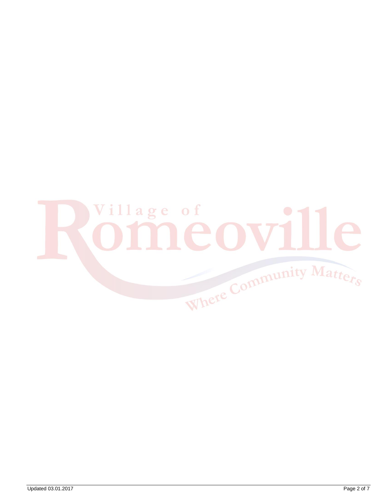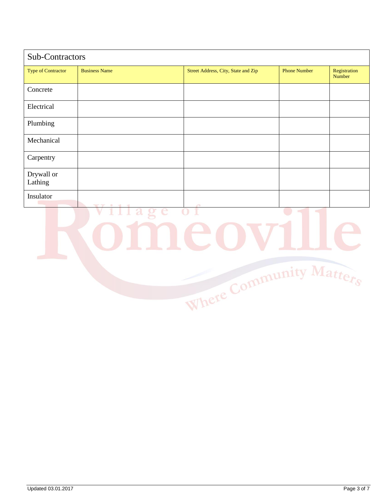| Sub-Contractors                     |                        |                                     |                     |                        |
|-------------------------------------|------------------------|-------------------------------------|---------------------|------------------------|
| <b>Type of Contractor</b>           | <b>Business Name</b>   | Street Address, City, State and Zip | <b>Phone Number</b> | Registration<br>Number |
| Concrete                            |                        |                                     |                     |                        |
| Electrical                          |                        |                                     |                     |                        |
| Plumbing                            |                        |                                     |                     |                        |
| Mechanical                          |                        |                                     |                     |                        |
| Carpentry                           |                        |                                     |                     |                        |
| Drywall or<br>Lathing               |                        |                                     |                     |                        |
| Insulator                           | <b>Service Control</b> | Z5                                  |                     |                        |
| l a<br>e<br>Where Community Matters |                        |                                     |                     |                        |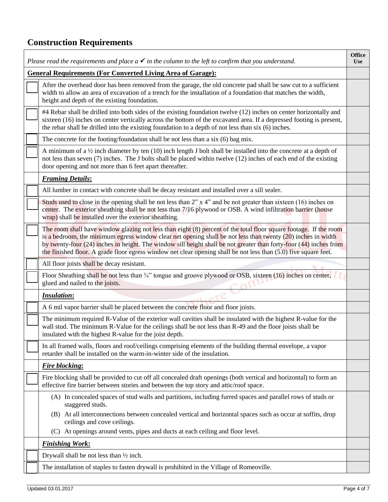## **Construction Requirements**

| <b>Office</b><br>Please read the requirements and place $a \checkmark$ in the column to the left to confirm that you understand. |                                                                                                                                                                                                                                                                                                                                                                                                                                                                             |  |  |
|----------------------------------------------------------------------------------------------------------------------------------|-----------------------------------------------------------------------------------------------------------------------------------------------------------------------------------------------------------------------------------------------------------------------------------------------------------------------------------------------------------------------------------------------------------------------------------------------------------------------------|--|--|
| <b>General Requirements (For Converted Living Area of Garage):</b>                                                               |                                                                                                                                                                                                                                                                                                                                                                                                                                                                             |  |  |
|                                                                                                                                  | After the overhead door has been removed from the garage, the old concrete pad shall be saw cut to a sufficient<br>width to allow an area of excavation of a trench for the installation of a foundation that matches the width,<br>height and depth of the existing foundation.                                                                                                                                                                                            |  |  |
|                                                                                                                                  | #4 Rebar shall be drilled into both sides of the existing foundation twelve (12) inches on center horizontally and<br>sixteen (16) inches on center vertically across the bottom of the excavated area. If a depressed footing is present,<br>the rebar shall be drilled into the existing foundation to a depth of not less than six (6) inches.                                                                                                                           |  |  |
|                                                                                                                                  | The concrete for the footing/foundation shall be not less than a six (6) bag mix.                                                                                                                                                                                                                                                                                                                                                                                           |  |  |
|                                                                                                                                  | A minimum of a $\frac{1}{2}$ inch diameter by ten (10) inch length J bolt shall be installed into the concrete at a depth of<br>not less than seven (7) inches. The J bolts shall be placed within twelve (12) inches of each end of the existing<br>door opening and not more than 6 feet apart thereafter.                                                                                                                                                                |  |  |
|                                                                                                                                  | <b>Framing Details:</b>                                                                                                                                                                                                                                                                                                                                                                                                                                                     |  |  |
|                                                                                                                                  | All lumber in contact with concrete shall be decay resistant and installed over a sill sealer.                                                                                                                                                                                                                                                                                                                                                                              |  |  |
|                                                                                                                                  | Studs used to close in the opening shall be not less than $2^{\prime\prime}$ x 4" and be not greater than sixteen (16) inches on<br>center. The exterior sheathing shall be not less than 7/16 plywood or OSB. A wind infiltration barrier (house<br>wrap) shall be installed over the exterior sheathing.                                                                                                                                                                  |  |  |
|                                                                                                                                  | The room shall have window glazing not less than eight (8) percent of the total floor square footage. If the room<br>is a bedroom, the minimum egress window clear net opening shall be not less than twenty (20) inches in width<br>by twenty-four (24) inches in height. The window sill height shall be not greater than forty-four (44) inches from<br>the finished floor. A grade floor egress window net clear opening shall be not less than (5.0) five square feet. |  |  |
|                                                                                                                                  | All floor joists shall be decay resistant.                                                                                                                                                                                                                                                                                                                                                                                                                                  |  |  |
|                                                                                                                                  | Floor Sheathing shall be not less than 3/4" tongue and groove plywood or OSB, sixteen (16) inches on center,<br>glued and nailed to the joists.                                                                                                                                                                                                                                                                                                                             |  |  |
|                                                                                                                                  | <b>Insulation:</b>                                                                                                                                                                                                                                                                                                                                                                                                                                                          |  |  |
|                                                                                                                                  | A 6 mil vapor barrier shall be placed between the concrete floor and floor joists.                                                                                                                                                                                                                                                                                                                                                                                          |  |  |
|                                                                                                                                  | The minimum required R-Value of the exterior wall cavities shall be insulated with the highest R-value for the<br>wall stud. The minimum R-Value for the ceilings shall be not less than R-49 and the floor joists shall be<br>insulated with the highest R-value for the joist depth.                                                                                                                                                                                      |  |  |
|                                                                                                                                  | In all framed walls, floors and roof/ceilings comprising elements of the building thermal envelope, a vapor<br>retarder shall be installed on the warm-in-winter side of the insulation.                                                                                                                                                                                                                                                                                    |  |  |
|                                                                                                                                  | <b>Fire blocking:</b>                                                                                                                                                                                                                                                                                                                                                                                                                                                       |  |  |
|                                                                                                                                  | Fire blocking shall be provided to cut off all concealed draft openings (both vertical and horizontal) to form an<br>effective fire barrier between stories and between the top story and attic/roof space.                                                                                                                                                                                                                                                                 |  |  |
|                                                                                                                                  | (A) In concealed spaces of stud walls and partitions, including furred spaces and parallel rows of studs or<br>staggered studs.                                                                                                                                                                                                                                                                                                                                             |  |  |
|                                                                                                                                  | (B) At all interconnections between concealed vertical and horizontal spaces such as occur at soffits, drop<br>ceilings and cove ceilings.                                                                                                                                                                                                                                                                                                                                  |  |  |
|                                                                                                                                  | (C) At openings around vents, pipes and ducts at each ceiling and floor level.                                                                                                                                                                                                                                                                                                                                                                                              |  |  |
|                                                                                                                                  | <b>Finishing Work:</b>                                                                                                                                                                                                                                                                                                                                                                                                                                                      |  |  |
|                                                                                                                                  | Drywall shall be not less than $\frac{1}{2}$ inch.                                                                                                                                                                                                                                                                                                                                                                                                                          |  |  |
|                                                                                                                                  | The installation of staples to fasten drywall is prohibited in the Village of Romeoville.                                                                                                                                                                                                                                                                                                                                                                                   |  |  |

٦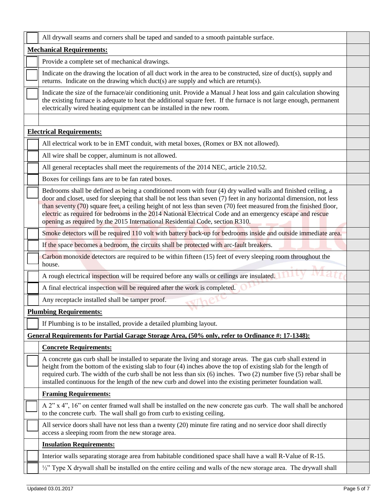|                                 | All drywall seams and corners shall be taped and sanded to a smooth paintable surface.                                                                                                                                                                                                                                                                                                                                                                                                                                                                  |  |  |  |
|---------------------------------|---------------------------------------------------------------------------------------------------------------------------------------------------------------------------------------------------------------------------------------------------------------------------------------------------------------------------------------------------------------------------------------------------------------------------------------------------------------------------------------------------------------------------------------------------------|--|--|--|
| <b>Mechanical Requirements:</b> |                                                                                                                                                                                                                                                                                                                                                                                                                                                                                                                                                         |  |  |  |
|                                 | Provide a complete set of mechanical drawings.                                                                                                                                                                                                                                                                                                                                                                                                                                                                                                          |  |  |  |
|                                 | Indicate on the drawing the location of all duct work in the area to be constructed, size of duct(s), supply and<br>returns. Indicate on the drawing which duct(s) are supply and which are return(s).                                                                                                                                                                                                                                                                                                                                                  |  |  |  |
|                                 | Indicate the size of the furnace/air conditioning unit. Provide a Manual J heat loss and gain calculation showing<br>the existing furnace is adequate to heat the additional square feet. If the furnace is not large enough, permanent<br>electrically wired heating equipment can be installed in the new room.                                                                                                                                                                                                                                       |  |  |  |
|                                 |                                                                                                                                                                                                                                                                                                                                                                                                                                                                                                                                                         |  |  |  |
|                                 | <b>Electrical Requirements:</b>                                                                                                                                                                                                                                                                                                                                                                                                                                                                                                                         |  |  |  |
|                                 | All electrical work to be in EMT conduit, with metal boxes, (Romex or BX not allowed).                                                                                                                                                                                                                                                                                                                                                                                                                                                                  |  |  |  |
|                                 | All wire shall be copper, aluminum is not allowed.                                                                                                                                                                                                                                                                                                                                                                                                                                                                                                      |  |  |  |
|                                 | All general receptacles shall meet the requirements of the 2014 NEC, article 210.52.                                                                                                                                                                                                                                                                                                                                                                                                                                                                    |  |  |  |
|                                 | Boxes for ceilings fans are to be fan rated boxes.                                                                                                                                                                                                                                                                                                                                                                                                                                                                                                      |  |  |  |
|                                 | Bedrooms shall be defined as being a conditioned room with four (4) dry walled walls and finished ceiling, a<br>door and closet, used for sleeping that shall be not less than seven (7) feet in any horizontal dimension, not less<br>than seventy (70) square feet, a ceiling height of not less than seven (70) feet measured from the finished floor,<br>electric as required for bedrooms in the 2014 National Electrical Code and an emergency escape and rescue<br>opening as required by the 2015 International Residential Code, section R310. |  |  |  |
|                                 | Smoke detectors will be required 110 volt with battery back-up for bedrooms inside and outside immediate area.                                                                                                                                                                                                                                                                                                                                                                                                                                          |  |  |  |
|                                 | If the space becomes a bedroom, the circuits shall be protected with arc-fault breakers.                                                                                                                                                                                                                                                                                                                                                                                                                                                                |  |  |  |
|                                 | Carbon monoxide detectors are required to be within fifteen (15) feet of every sleeping room throughout the<br>house.                                                                                                                                                                                                                                                                                                                                                                                                                                   |  |  |  |
|                                 | A rough electrical inspection will be required before any walls or ceilings are insulated.                                                                                                                                                                                                                                                                                                                                                                                                                                                              |  |  |  |
|                                 | A final electrical inspection will be required after the work is completed.                                                                                                                                                                                                                                                                                                                                                                                                                                                                             |  |  |  |
|                                 | Any receptacle installed shall be tamper proof.                                                                                                                                                                                                                                                                                                                                                                                                                                                                                                         |  |  |  |
|                                 | <b>Plumbing Requirements:</b>                                                                                                                                                                                                                                                                                                                                                                                                                                                                                                                           |  |  |  |
|                                 | If Plumbing is to be installed, provide a detailed plumbing layout.                                                                                                                                                                                                                                                                                                                                                                                                                                                                                     |  |  |  |
|                                 | <b>General Requirements for Partial Garage Storage Area, (50% only, refer to Ordinance #: 17-1348):</b>                                                                                                                                                                                                                                                                                                                                                                                                                                                 |  |  |  |
|                                 | <b>Concrete Requirements:</b>                                                                                                                                                                                                                                                                                                                                                                                                                                                                                                                           |  |  |  |
|                                 | A concrete gas curb shall be installed to separate the living and storage areas. The gas curb shall extend in<br>height from the bottom of the existing slab to four (4) inches above the top of existing slab for the length of<br>required curb. The width of the curb shall be not less than six $(6)$ inches. Two $(2)$ number five $(5)$ rebar shall be<br>installed continuous for the length of the new curb and dowel into the existing perimeter foundation wall.                                                                              |  |  |  |
|                                 | <b>Framing Requirements:</b>                                                                                                                                                                                                                                                                                                                                                                                                                                                                                                                            |  |  |  |
|                                 | A 2" x 4", 16" on center framed wall shall be installed on the new concrete gas curb. The wall shall be anchored<br>to the concrete curb. The wall shall go from curb to existing ceiling.                                                                                                                                                                                                                                                                                                                                                              |  |  |  |
|                                 | All service doors shall have not less than a twenty (20) minute fire rating and no service door shall directly<br>access a sleeping room from the new storage area.                                                                                                                                                                                                                                                                                                                                                                                     |  |  |  |
|                                 | <b>Insulation Requirements:</b>                                                                                                                                                                                                                                                                                                                                                                                                                                                                                                                         |  |  |  |
|                                 | Interior walls separating storage area from habitable conditioned space shall have a wall R-Value of R-15.                                                                                                                                                                                                                                                                                                                                                                                                                                              |  |  |  |
|                                 | $\frac{1}{2}$ " Type X drywall shall be installed on the entire ceiling and walls of the new storage area. The drywall shall                                                                                                                                                                                                                                                                                                                                                                                                                            |  |  |  |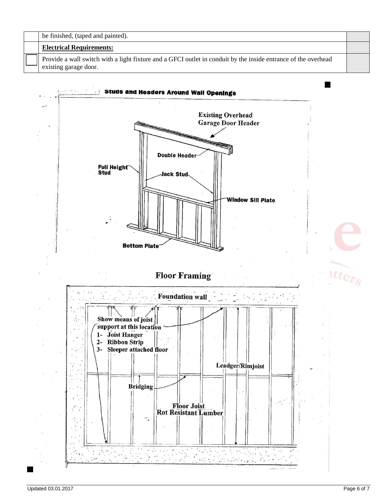